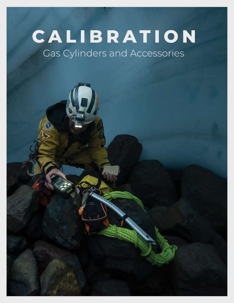# Gas Cylinders and Accessories **CALIBRATION**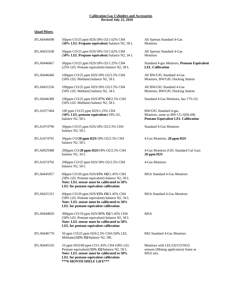## **Calibration Gas Cylinders and Accessories Revised July 22, 2020**

# **Quad Mixes:**

| <b>IFLA0446698</b> | 50ppm CO/25 ppm H2S/18% O2/1.62% CH4<br>(50% LEL Propane equivalent) balance N2, 58 L                                                                                                                       | All Sperian Standard 4-Gas<br>Monitors                                                                       |
|--------------------|-------------------------------------------------------------------------------------------------------------------------------------------------------------------------------------------------------------|--------------------------------------------------------------------------------------------------------------|
| IFLA0431638        | 50ppm CO/25 ppm H2S/18% O2/1.62% CH4<br>(50% LEL Propane equivalent) balance N2, 34 L                                                                                                                       | All Sperian Standard 4-Gas<br>Monitors                                                                       |
| <b>IFLA0446667</b> | 50ppm CO/25 ppm H2S/18% O2/1.25% CH4<br>(25% LEL Pentane equivalent) balance N2, 58 L                                                                                                                       | Standard 4-gas Monitors, Pentane Equivalent<br><b>LEL Calibration</b>                                        |
| IFLA0446460        | 100ppm CO/25 ppm H2S/18% O2/2.5% CH4<br>(50% LEL Methane) balance N2, 58 L                                                                                                                                  | All BW/GfG Standard 4-Gas<br>Monitors, BW/GfG Docking Station                                                |
| IFLA0431536        | 100ppm CO/25 ppm H2S/18% O2/2.5% CH4<br>(50% LEL Methane) balance N2, 34 L                                                                                                                                  | All BW/GfG Standard 4-Gas<br>Monitors, BW/GfG Docking Station                                                |
| IFLA0446389        | 100ppm CO/25 ppm H2S/17% O2/2.5% CH4<br>(50% LEL Methane) balance N2, 58 L                                                                                                                                  | Standard 4-Gas Monitors, has 17% O2                                                                          |
| <b>IFLA1077404</b> | 100 ppm CO/25 ppm H2S/1.25% CH4<br>(50% LEL pentane equivalent)/18% O2,<br>balance N2, 58 L                                                                                                                 | <b>BW/GfG Standard 4-gas</b><br>Monitors, same as BW CG-Q58-4JK<br><b>Pentane Equivalent LEL Calibration</b> |
| <b>IFLA1074790</b> | 50ppm CO/25 ppm H2S/18% O2/2.5% CH4<br>balance N2, 58 L                                                                                                                                                     | <b>Standard 4-Gas Monitors</b>                                                                               |
| IFLA1074791        | 50ppm CO/20 ppm H2S/18% O2/2.5% CH4<br>balance N2, 58 L                                                                                                                                                     | 4-Gas Monitors, 20 ppm H2S                                                                                   |
| <b>IFLA0925988</b> | 200ppm CO/20 ppm H2S/18% O2/2.5% CH4<br>balance N2, 34 L                                                                                                                                                    | 4-Gas Monitors (GfG Standard Cal Gas)<br>20 ppm H <sub>2S</sub>                                              |
| IFLA1074792        | 200ppm CO/25 ppm H2S/18% O2/2.5% CH4<br>balance N2, 58 L                                                                                                                                                    | 4-Gas Monitors                                                                                               |
| <b>IFLA0445957</b> | 60ppm CO/20 ppm H2S/15% O2/1.45% CH4<br>(58% LEL Pentane equivalent) balance N2, 58 L<br>Note: LEL sensor must be calibrated to 58%<br>LEL for pentane equivalent calibration                               | <b>MSA Standard 4-Gas Monitors</b>                                                                           |
| IFLA0431321        | 60ppm CO/20 ppm H2S/15% O2/1.45% CH4<br>(58% LEL Pentane equivalent) balance N2, 34 L<br>Note: LEL sensor must be calibrated to 58%<br>LEL for pentane equivalent calibration                               | <b>MSA Standard 4-Gas Monitors</b>                                                                           |
| <b>IFLA0444820</b> | 300ppm CO/10 ppm H2S/15% O2/1.45% CH4<br>(58% LEL Pentane equivalent) balance N2, 58 L<br>Note: LEL sensor must be calibrated to 58%<br>LEL for pentane equivalent calibration                              | <b>MSA</b>                                                                                                   |
| <b>IFLA0446770</b> | 50 ppm CO/25 ppm H2S/2.5% CH4 (50% LEL<br>Methane)/12% O2/balance N2, 58L                                                                                                                                   | <b>RKI Standard 4-Gas Monitors</b>                                                                           |
| IFLA0445316        | 10 ppm NO2/60 ppm CO/1.45% CH4 (58% LEL<br>Pentane equivalent)/15% O2/balance N2, 58 L<br>Note: LEL sensor must be calibrated to 58%<br>LEL for pentane equivalent calibration<br>*** 6 MONTH SHELF LIFE*** | Monitors with LEL/O2/CO/NO2<br>sensors (Mining application) Same as<br>MSA mix.                              |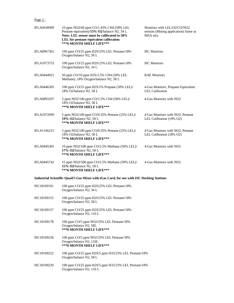# Page 2:

| <b>IFLA0430909</b> | 10 ppm NO2/60 ppm CO/1.45% CH4 (58% LEL<br>Pentane equivalent)/15% O2/balance N2, 34 L<br>Note: LEL sensor must be calibrated to 58%<br>LEL for pentane equivalent calibration<br>***6 MONTH SHELF LIFE*** | Monitors with LEL/O2/CO/NO2<br>sensors (Mining application) Same as<br>MSA mix. |
|--------------------|------------------------------------------------------------------------------------------------------------------------------------------------------------------------------------------------------------|---------------------------------------------------------------------------------|
| <b>IFLA0967361</b> | 100 ppm CO/25 ppm H2S/25% LEL Pentane/18%<br>Oxygen/balance N2, 58 L                                                                                                                                       | <b>ISC Monitors</b>                                                             |
| <b>IFLA1073753</b> | 100 ppm CO/25 ppm H2S/25% LEL Pentane/18%<br>Oxygen/balance N2, 34 L                                                                                                                                       | <b>ISC</b> Monitors                                                             |
| <b>IFLA0444921</b> | 50 ppm CO/10 ppm H2S/2.5% CH4 (50% LEL<br>Methane), 18% Oxygen/balance N2, 58 L                                                                                                                            | <b>RAE Monitors</b>                                                             |
| <b>IFLA0446305</b> | 100 ppm CO/25 ppm H2S/1% Propane (50% LEL)/<br>18% O2/balance N2, 58 L                                                                                                                                     | 4-Gas Monitors, Propane Equivalent<br><b>LEL Calibration</b>                    |
| <b>IFLA0893107</b> | 5 ppm NO2/100 ppm CO/2.5% CH4 (50% LEL)/<br>18% O2/balance N2, 58 L<br>***6 MONTH SHELF LIFE***                                                                                                            | 4-Gas Monitors with NO <sub>2</sub>                                             |
| <b>IFLA1072699</b> | 5 ppm NO2/100 ppm CO/0.35% Pentane (25% LEL)/<br>19% O2/balance N2, 58 L<br>***6 MONTH SHELF LIFE***                                                                                                       | 4-Gas Monitors with NO2, Pentane<br>LEL Calibration (19% O2)                    |
| IFLA1166215        | 5 ppm NO2/100 ppm CO/0.35% Pentane (25% LEL)/<br>18% O2/balance N2, 58 L<br>***6 MONTH SHELF LIFE***                                                                                                       | 4-Gas Monitors with NO2, Pentane<br>LEL Calibration (18% O2)                    |
| <b>IFLA0445305</b> | 10 ppm NO2/100 ppm CO/2.5% Methane (50% LEL)/<br>17% O2/balance N2, 58 L<br>***6 MONTH SHELF LIFE***                                                                                                       | 4-Gas Monitors with NO <sub>2</sub>                                             |
| IFLA0445742        | 15 ppm NO2/500 ppm CO/2.5% Methane (50% LEL)/<br>15% O2/balance N2, 58 L<br>***6 MONTH SHELF LIFE***                                                                                                       | 4-Gas Monitors with NO2                                                         |
|                    | Industrial Scientific Quad/5 Gas Mixes with iGas Card, for use with ISC Docking Stations                                                                                                                   |                                                                                 |
| ISC18109191        | 100 ppm CO/25 ppm H2S/25% LEL Pentane/18%<br>Oxygen/balance N2, 34 L                                                                                                                                       |                                                                                 |
| ISC18109155        | 100 ppm CO/25 ppm H2S/25% LEL Pentane/18%<br>Oxygen/balance N2, 58 L                                                                                                                                       |                                                                                 |
| ISC18109157        | 100 ppm CO/25 ppm H2S/25% LEL Pentane/18%<br>Oxygen/balance N2, 116 L                                                                                                                                      |                                                                                 |
| ISC18109178        | 100 ppm CO/5 ppm NO2/25% LEL Pentane/18%<br>Oxygen/balance N2, 58L<br>*** 6 MONTH SHELF LIFE***                                                                                                            |                                                                                 |
| ISC18109236        | 100 ppm CO/5 ppm NO2/25% LEL Pentane/18%<br>Oxygen/balance N2, 116L<br>***6 MONTH SHELF LIFE***                                                                                                            |                                                                                 |
| ISC18109222        | 100 ppm CO/25 ppm H2S/5 ppm SO2/25% LEL Pentane/18%<br>Oxygen/balance N2, 58 L                                                                                                                             |                                                                                 |
| ISC18109220        | 100 ppm CO/25 ppm H2S/5 ppm SO2/25% LEL Pentane/18%<br>Oxygen/balance N2, 116 L                                                                                                                            |                                                                                 |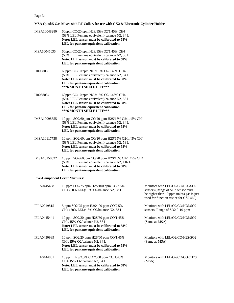# Page 3:

**MSA Quad/5 Gas Mixes with RF Collar, for use with GX2 & Electronic Cylinder Holder**

| IMSA10048280       | 60ppm CO/20 ppm H2S/15% O2/1.45% CH4<br>(58% LEL Pentane equivalent) balance N2, 34 L<br>Note: LEL sensor must be calibrated to 58%<br>LEL for pentane equivalent calibration                             |                                                                                                                                                            |
|--------------------|-----------------------------------------------------------------------------------------------------------------------------------------------------------------------------------------------------------|------------------------------------------------------------------------------------------------------------------------------------------------------------|
| MSA10045035        | 60ppm CO/20 ppm H2S/15% O2/1.45% CH4<br>(58% LEL Pentane equivalent) balance N2, 58 L<br>Note: LEL sensor must be calibrated to 58%<br>LEL for pentane equivalent calibration                             |                                                                                                                                                            |
| 110058036          | 60ppm CO/10 ppm NO2/15% O2/1.45% CH4<br>(58% LEL Pentane equivalent) balance N2, 34 L<br>Note: LEL sensor must be calibrated to 58%<br>LEL for pentane equivalent calibration<br>***6 MONTH SHELF LIFE*** |                                                                                                                                                            |
| I10058034          | 60ppm CO/10 ppm NO2/15% O2/1.45% CH4<br>(58% LEL Pentane equivalent) balance N2, 58 L<br>Note: LEL sensor must be calibrated to 58%<br>LEL for pentane equivalent calibration<br>***6 MONTH SHELF LIFE*** |                                                                                                                                                            |
| IMSA10098855       | 10 ppm SO2/60ppm CO/20 ppm H2S/15% O2/1.45% CH4<br>(58% LEL Pentane equivalent) balance N2, 34 L<br>Note: LEL sensor must be calibrated to 58%<br>LEL for pentane equivalent calibration                  |                                                                                                                                                            |
| IMSA10117738       | 10 ppm SO2/60ppm CO/20 ppm H2S/15% O2/1.45% CH4<br>(58% LEL Pentane equivalent) balance N2, 58 L<br>Note: LEL sensor must be calibrated to 58%<br>LEL for pentane equivalent calibration                  |                                                                                                                                                            |
| IMSA10150622       | 10 ppm SO2/60ppm CO/20 ppm H2S/15% O2/1.45% CH4<br>(58% LEL Pentane equivalent) balance N2, 116 L<br>Note: LEL sensor must be calibrated to 58%<br>LEL for pentane equivalent calibration                 |                                                                                                                                                            |
|                    | <b>Five-Component Levitt Mixtures:</b>                                                                                                                                                                    |                                                                                                                                                            |
| <b>IFLA0445458</b> | 10 ppm SO2/25 ppm H2S/100 ppm CO/2.5%<br>CH4 (50% LEL)/18% O2/balance N2, 58 L                                                                                                                            | Monitors with LEL/O2/CO/H2S/SO2<br>sensors (Range of SO2 sensor must<br>be higher than 10 ppm unless gas is just<br>used for function test or for GfG 460) |
| IFLA0919815        | 5 ppm SO2/25 ppm H2S/100 ppm CO/2.5%<br>CH4 (50% LEL)/18% O2/balance N2, 58 L                                                                                                                             | Monitors with LEL/O2/CO/H2S/SO2<br>sensors, Range of SO2 0-10 ppm                                                                                          |
| <b>IFLA0445441</b> | 10 ppm SO2/20 ppm H2S/60 ppm CO/1.45%<br>CH4/15% O2/balance N2, 58 L<br>Note: LEL sensor must be calibrated to 58%<br>LEL for pentane equivalent calibration                                              | Monitors with LEL/O2/CO/H2S/SO2<br>(Same as MSA)                                                                                                           |
| <b>IFLA0430989</b> | 10 ppm SO2/20 ppm H2S/60 ppm CO/1.45%<br>CH4/15% O2/balance N2, 34 L<br>Note: LEL sensor must be calibrated to 58%<br>LEL for pentane equivalent calibration                                              | Monitors with LEL/O2/CO/H2S/SO2<br>(Same as MSA)                                                                                                           |
| <b>IFLA0444831</b> | 10 ppm H2S/2.5% CO2/300 ppm CO/1.45%<br>CH4/15% O2/balance N2, 34 L<br>Note: LEL sensor must be calibrated to 58%<br>LEL for pentane equivalent calibration                                               | Monitors with LEL/O2/CO/CO2/H2S<br>(MSA)                                                                                                                   |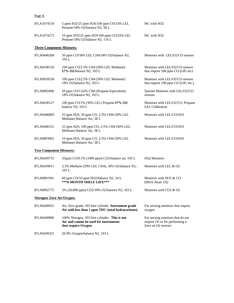## Page 4:

| <b>IFLA1074518</b>               | 5 ppm SO2/25 ppm H2S/100 ppm CO/25% LEL<br>Pentane/18% O2/balance N2, 58 L                                      | ISC with SO <sub>2</sub>                                                                 |
|----------------------------------|-----------------------------------------------------------------------------------------------------------------|------------------------------------------------------------------------------------------|
| <b>IFLA1074273</b>               | 10 ppm SO2/25 ppm H2S/100 ppm CO/25% LEL<br>Pentane/18% O2/balance N2, 116 L                                    | ISC with SO <sub>2</sub>                                                                 |
| <b>Three-Component Mixtures:</b> |                                                                                                                 |                                                                                          |
| <b>IFLA0440268</b>               | 50 ppm CO/50% LEL CH4/18% O2/balance N2,<br>103L                                                                | Monitors with LEL/O2/CO sensors                                                          |
| <b>IFLA0438156</b>               | 100 ppm CO/2.5% CH4 (50% LEL Methane)/<br>17% O2/balance N2, 103 L                                              | Monitors with LEL/O2/CO sensors<br>that require 100 ppm CO (GfG etc)                     |
| <b>IFLA0918558</b>               | 100 ppm CO/2.5% CH4 (50% LEL Methane)/<br>18% O2/balance N2, 103 L                                              | Monitors with LEL/O2/CO sensors<br>that require 100 ppm CO (GfG etc.)                    |
| <b>IFLA0892806</b>               | 50 ppm CO/1.62% CH4 (Propane Equivalent)/<br>18% O2/balance N2, 103 L                                           | Sperian Monitors with LEL/O2/CO<br>sensors                                               |
| IFLA0438127                      | 100 ppm CO/1% (50% LEL) Propane/17% O2/<br>balance N2, 103 L                                                    | Monitors with LEL/O2/CO, Propane<br><b>LEL</b> Calibration                               |
| <b>IFLA0446869</b>               | 25 ppm H2S, 50 ppm CO, 2.5% CH4 (50% LEL<br>Methane) Balance Air, 58 L                                          | Monitors with LEL/CO/H2S                                                                 |
| IFLA0446531                      | 25 ppm H2S, 100 ppm CO, 2.5% CH4 (50% LEL<br>Methane) Balance Air, 58 L                                         | Monitors with LEL/CO/H2S                                                                 |
| IFLA0893001                      | 10 ppm H2S, 50 ppm CO, 2.5% CH4 (50% LEL<br>Methane) Balance Air, 58 L                                          | Monitors with LEL/CO/H2S                                                                 |
| <b>Two-Component Mixtures:</b>   |                                                                                                                 |                                                                                          |
| <b>IFLA0439733</b>               | 35ppm CO/0.1% (1000 ppm) CO2/balance air, 103 L                                                                 | <b>IAQ Monitors</b>                                                                      |
| IFLA0439011                      | 2.5% Methane (50% LEL CH4), 18% O2/balance N2,<br>103 L                                                         | Monitors with LEL & O2                                                                   |
| <b>IFLA0891901</b>               | 60 ppm CO/10 ppm NO2/balance N2, 34 L<br>***6 MONTH SHELF LIFE***                                               | Monitors with NO2 & CO<br>(MSA Altair 2X)                                                |
| IFLA0892775                      | 2% (20,000 ppm) CO2/18% O2/balance N2, 103 L                                                                    | Monitors with CO2 & O2                                                                   |
| Nitrogen/ Zero Air/Oxygen:       |                                                                                                                 |                                                                                          |
| <b>IFLA0440931</b>               | Air, Zero grade, 103 litre cylinder. Instrument grade<br>Air with less than 1 ppm THC (total hydrocarbons)      | For zeroing monitors that require<br>oxygen.                                             |
| <b>IFLA0440806</b>               | 100% Nitrogen, 103 litre cylinder. This is not<br>Air and cannot be used for instruments<br>that require Oxygen | For zeroing monitors that do not<br>require O2 or for performing a<br>Zero on O2 sensors |

IFLA0439321 20.9% Oxygen/balance N2, 103 L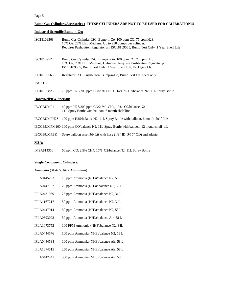## Page 5:

# **Bump Gas Cylinders/Accessories : THESE CYLINDERS ARE NOT TO BE USED FOR CALIBRATION!!!**

# **Industrial Scientific Bump-n-Go:**

| ISC18109568           | Bump Gas Cylinder, ISC, Bump-n-Go, 100 ppm CO, 75 ppm H2S,<br>15% O2, 25% LEL Methane. Up to 250 bumps per cylinder.<br>Requires Pushbutton Regulator p/n ISC18109565, Bump Test Only, 1 Year Shelf Life |
|-----------------------|----------------------------------------------------------------------------------------------------------------------------------------------------------------------------------------------------------|
| ISC18109577           | Bump Gas Cylinder, ISC, Bump-n-Go, 100 ppm CO, 75 ppm H2S,<br>15% O2, 25% LEL Methane, Cylinders. Requires Pushbutton Regulator p/n<br>ISC18109565, Bump Test Only, 1 Year Shelf Life, Package of 6.     |
| ISC18109565           | Regulator, ISC, Pushbutton, Bump-n-Go, Bump Test Cylinders only                                                                                                                                          |
| <u>ISC 11L:</u>       |                                                                                                                                                                                                          |
| ISC18105825           | 75 ppm H2S/200 ppm CO/25% LEL CH4/15% O2/balance N2, 11L Spray Bottle                                                                                                                                    |
| Honeywell/BW/Sperian: |                                                                                                                                                                                                          |
| <b>IBCGBUMP1</b>      | 40 ppm H2S/200 ppm CO/2.5% CH4, 10% O2/balance N2<br>11L Spray Bottle with balloon, 6 month shelf life                                                                                                   |
| <b>IBCGBUMPH2S</b>    | 100 ppm H2S/balance N2. 11L Spray Bottle with balloon, 6 month shelf life                                                                                                                                |
|                       | IBCGBUMPM100 100 ppm CO/balance N2. 11L Spray Bottle with balloon, 12 month shelf life                                                                                                                   |
| <b>IBCGBUMPBK</b>     | Spare balloon assembly kit with hose $(1/8$ " ID, $3/16$ " OD) and adapter                                                                                                                               |
| <u>MSA:</u>           |                                                                                                                                                                                                          |
| IMSA814350            | 60 ppm CO, 2.5% CH4, 15% O2/balance N2, 11L Spray Bottle                                                                                                                                                 |

# **Single-Component Cylinders:**

# **Ammonia (34 & 58 litre Aluminum)**

| <b>IFLA0445263</b> | 10 ppm Ammonia (NH3)/balance N2, 58 L   |
|--------------------|-----------------------------------------|
| <b>IFLA0447187</b> | 25 ppm Ammonia (NH3)/ balance N2, 58 L  |
| IFLA0431939        | 25 ppm Ammonia (NH3)/balance N2, 34 L   |
| IFLA1167217        | 50 ppm Ammonia (NH3)/balance N2, 34L    |
| IFLA0447914        | 50 ppm Ammonia (NH3)/balance N2, 58 L   |
| IFLA0893093        | 50 ppm Ammonia (NH3)/balance Air, 58 L  |
| IFLA1073752        | 100 PPM Ammonia (NH3)/balance N2, 34L   |
| <b>IFLA0444576</b> | 100 ppm Ammonia (NH3)/balance N2, 58 L  |
| <b>IFLA0444534</b> | 100 ppm Ammonia (NH3)/balance Air, 58 L |
| <b>IFLA1074515</b> | 250 ppm Ammonia (NH3)/balance Air, 58 L |
| <b>IFLA0447441</b> | 300 ppm Ammonia (NH3)/balance Air, 58 L |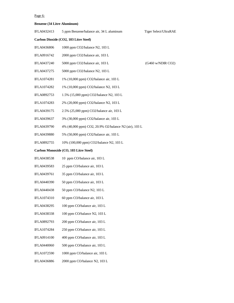## Page 6:

# **Benzene (34 Litre Aluminum)**

| IFLA0432413        | 5 ppm Benzene/balance air, 34 L aluminum              | Tiger Select/UltraRAE |
|--------------------|-------------------------------------------------------|-----------------------|
|                    | Carbon Dioxide (CO2, 103 Litre Steel)                 |                       |
| IFLA0436806        | 1000 ppm CO2/balance N2, 103 L                        |                       |
| IFLA0916742        | 2000 ppm CO2/balance air, 103 L                       |                       |
| IFLA0437240        | 5000 ppm CO2/balance air, 103 L                       | (G460 w/NDIR CO2)     |
| IFLA0437275        | 5000 ppm CO2/balance N2, 103 L                        |                       |
| <b>IFLA1074281</b> | 1% (10,000 ppm) CO2/balance air, 103 L                |                       |
| IFLA1074282        | 1% (10,000 ppm) CO2/balance N2, 103 L                 |                       |
| IFLA0892753        | 1.5% (15,000 ppm) CO2/balance N2, 103 L               |                       |
| IFLA1074283        | 2% (20,000 ppm) CO2/balance N2, 103 L                 |                       |
| IFLA0439175        | 2.5% (25,000 ppm) CO2/balance air, 103 L              |                       |
| IFLA0439637        | 3% (30,000 ppm) CO2/balance air, 103 L                |                       |
| IFLA0439790        | 4% (40,000 ppm) CO2, 20.9% O2/balance N2 (air), 103 L |                       |
| IFLA0439880        | 5% (50,000 ppm) CO2/balance air, 103 L                |                       |
| IFLA0892755        | 10% (100,000 ppm) CO2/balance N2, 103 L               |                       |
|                    | Carbon Monoxide (CO, 103 Litre Steel)                 |                       |
| IFLA0438538        | 10 ppm CO/balance air, 103 L                          |                       |
| IFLA0439583        | 25 ppm CO/balance air, 103 L                          |                       |
| IFLA0439761        | 35 ppm CO/balance air, 103 L                          |                       |
| IFLA0440390        | 50 ppm CO/balance air, 103 L                          |                       |
| IFLA0440438        | 50 ppm CO/balance N2, 103 L                           |                       |
| IFLA1074310        | 60 ppm CO/balance air, 103 L                          |                       |
| <b>IFLA0438295</b> | 100 ppm CO/balance air, 103 L                         |                       |
| IFLA0438338        | 100 ppm CO/balance N2, 103 L                          |                       |
| IFLA0892793        | 200 ppm CO/balance air, 103 L                         |                       |
| IFLA1074284        | 250 ppm CO/balance air, 103 L                         |                       |
| IFLA0914100        | 400 ppm CO/balance air, 103 L                         |                       |
| IFLA0440060        | 500 ppm CO/balance air, 103 L                         |                       |
| IFLA1072590        | 1000 ppm CO/balance air, 103 L                        |                       |
| <b>IFLA0436886</b> | 2000 ppm CO/balance N2, 103 L                         |                       |
|                    |                                                       |                       |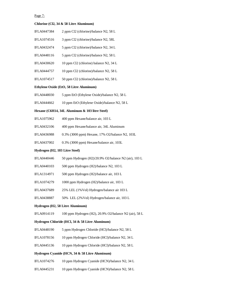#### Page 7:

#### **Chlorine (Cl2, 34 & 58 Litre Aluminum)**

- IFLA0447384 2 ppm Cl2 (chlorine)/balance N2, 58 L
- IFLA1074516 3 ppm Cl2 (chlorine)/balance N2, 58L
- IFLA0432474 5 ppm Cl2 (chlorine)/balance N2, 34 L
- IFLA0448116  $\qquad$  5 ppm Cl2 (chlorine)/balance N2, 58 L
- IFLA0430620 10 ppm Cl2 (chlorine) balance N2, 34 L
- IFLA0444757 10 ppm Cl2 (chlorine)/balance N2, 58 L
- IFLA1074517 50 ppm Cl2 (chlorine)/balance N2, 58 L

## **Ethylene Oxide (EtO, 58 Litre Aluminum)**

- IFLA0448030 5 ppm EtO (Ethylene Oxide)/balance N2, 58 L
- IFLA0444662 10 ppm EtO (Ethylene Oxide)/balance N2, 58 L

#### **Hexane (C6H14, 34L Aluminum & 103 litre Steel)**

- IFLA1075962 400 ppm Hexane/balance air, 103 L
- IFLA0432106 400 ppm Hexane/balance air, 34L Aluminum
- IFLA0436988 0.3% (3000 ppm) Hexane, 17% O2/balance N2, 103L
- IFLA0437002 0.3% (3000 ppm) Hexane/balance air, 103L

#### **Hydrogen (H2, 103 Litre Steel)**

- IFLA0440446 50 ppm Hydrogen (H2)/20.9% O2/balance N2 (air), 103 L
- IFLA0440103 500 ppm Hydrogen (H2)/balance N2, 103 L
- IFLA1314971 500 ppm Hydrogen (H2)/balance air, 103 L
- IFLA1074279 1000 ppm Hydrogen (H2)/balance air, 103 L
- IFLA0437689 25% LEL (1%Vol) Hydrogen/balance air 103 L
- IFLA0438887 50% LEL (2%Vol) Hydrogen/balance air, 103 L

#### **Hydrogen (H2, 58 Litre Aluminum)**

IFLA0914119 100 ppm Hydrogen (H2), 20.9% O2/balance N2 (air), 58 L

#### **Hydrogen Chloride (HCl, 34 & 58 Litre Aluminum)**

- IFLA0448190 5 ppm Hydrogen Chloride (HCl)/balance N2, 58 L
- IFLA1078156 10 ppm Hydrogen Chloride (HCl)/balance N2, 34 L
- IFLA0445136 10 ppm Hydrogen Chloride (HCl)/balance N2, 58 L

#### **Hydrogen Cyanide (HCN, 34 & 58 Litre Aluminum)**

- IFLA1074276 10 ppm Hydrogen Cyanide (HCN)/balance N2, 34 L
- IFLA0445231 10 ppm Hydrogen Cyanide (HCN)/balance N2, 58 L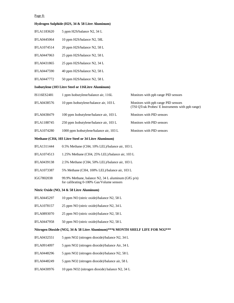# Page 8:

| Hydrogen Sulphide (H2S, 34 & 58 Litre Aluminum)                                |                                                                                                    |                                                                                         |
|--------------------------------------------------------------------------------|----------------------------------------------------------------------------------------------------|-----------------------------------------------------------------------------------------|
| IFLA1183620                                                                    | 5 ppm H2S/balance N2, 34 L                                                                         |                                                                                         |
| <b>IFLA0445064</b>                                                             | 10 ppm H2S/balance N2, 58L                                                                         |                                                                                         |
| IFLA1074514                                                                    | 20 ppm H2S/balance N2, 58 L                                                                        |                                                                                         |
| IFLA0447063                                                                    | 25 ppm H2S/balance N2, 58 L                                                                        |                                                                                         |
| IFLA0431865                                                                    | 25 ppm H2S/balance N2, 34 L                                                                        |                                                                                         |
| <b>IFLA0447590</b>                                                             | 40 ppm H2S/balance N2, 58 L                                                                        |                                                                                         |
| IFLA0447772                                                                    | 50 ppm H2S/balance N2, 58 L                                                                        |                                                                                         |
|                                                                                | Isobutylene (103 Litre Steel or 116 Litre Aluminum)                                                |                                                                                         |
| IS116ES2481                                                                    | 1 ppm Isobutylene/balance air, 116L                                                                | Monitors with ppb range PID sensors                                                     |
| IFLA0438576                                                                    | 10 ppm Isobutylene/balance air, 103 L                                                              | Monitors with ppb range PID sensors<br>(TSI QTrak Probes/ E Instruments with ppb range) |
| IFLA0438479                                                                    | 100 ppm Isobutylene/balance air, 103 L                                                             | Monitors with PID sensors                                                               |
| <b>IFLA1188745</b>                                                             | 250 ppm Isobutylene/balance air, 103 L                                                             | Monitors with PID sensors                                                               |
| IFLA1074280                                                                    | 1000 ppm Isobutylene/balance air, 103 L                                                            | Monitors with PID sensors                                                               |
|                                                                                | Methane (CH4, 103 Litre Steel or 34 Litre Aluminum)                                                |                                                                                         |
| IFLA1311444                                                                    | 0.5% Methane (CH4, 10% LEL)/balance air, 103 L                                                     |                                                                                         |
| IFLA1074513                                                                    | 1.25% Methane (CH4, 25% LEL)/balance air, 103 L                                                    |                                                                                         |
| IFLA0439138                                                                    | 2.5% Methane (CH4, 50% LEL)/balance air, 103 L                                                     |                                                                                         |
| IFLA1073387                                                                    | 5% Methane (CH4, 100% LEL)/balance air, 103 L                                                      |                                                                                         |
| IGG7802038                                                                     | 99.9% Methane, balance N2, 34 L aluminum (GfG $p/n$ )<br>for calibrating 0-100% Gas/Volume sensors |                                                                                         |
|                                                                                | Nitric Oxide (NO, 34 & 58 Litre Aluminum)                                                          |                                                                                         |
| <b>IFLA0445297</b>                                                             | 10 ppm NO (nitric oxide)/balance N2, 58 L                                                          |                                                                                         |
| IFLA1078157                                                                    | 25 ppm NO (nitric oxide)/balance N2, 34 L                                                          |                                                                                         |
| IFLA0893070                                                                    | 25 ppm NO (nitric oxide)/balance N2, 58 L                                                          |                                                                                         |
| <b>IFLA0447958</b>                                                             | 50 ppm NO (nitric oxide)/balance N2, 58 L                                                          |                                                                                         |
| Nitrogen Dioxide (NO2, 34 & 58 Litre Aluminum)***6 MONTH SHELF LIFE FOR NO2*** |                                                                                                    |                                                                                         |
| IFLA0432551                                                                    | 5 ppm NO2 (nitrogen dioxide)/balance N2, 34 L                                                      |                                                                                         |
| IFLA0914097                                                                    | 5 ppm NO2 (nitrogen dioxide)/balance Air, 34 L                                                     |                                                                                         |
| <b>IFLA0448296</b>                                                             | 5 ppm NO2 (nitrogen dioxide)/balance N2, 58 L                                                      |                                                                                         |
| <b>IFLA0448249</b>                                                             | 5 ppm NO2 (nitrogen dioxide)/balance air, 58 L                                                     |                                                                                         |
| IFLA0430976                                                                    | 10 ppm NO2 (nitrogen dioxide) balance N2, 34 L                                                     |                                                                                         |
|                                                                                |                                                                                                    |                                                                                         |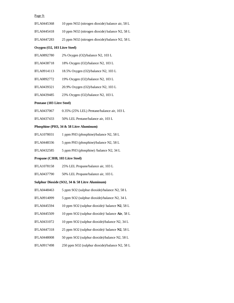#### Page 9:

| <b>IFLA0445368</b> | 10 ppm NO2 (nitrogen dioxide) balance air, 58 L |
|--------------------|-------------------------------------------------|
| <b>IFLA0445418</b> | 10 ppm NO2 (nitrogen dioxide) balance N2, 58 L  |
| <b>IFLA0447283</b> | 25 ppm NO2 (nitrogen dioxide)/balance N2, 58 L  |

#### **Oxygen (O2, 103 Litre Steel)**

| IFLA0892780 | $2\%$ Oxygen (O2)/balance N2, 103 L |  |
|-------------|-------------------------------------|--|
|             |                                     |  |

- IFLA0438718 18% Oxygen (O2)/balance N2, 103 L
- IFLA0914113 18.5% Oxygen (O2)/balance N2, 103 L
- IFLA0892772 19% Oxygen (O2)/balance N2, 103 L
- IFLA0439321 20.9% Oxygen (O2)/balance N2, 103 L
- IFLA0439485 23% Oxygen (O2)/balance N2, 103 L

#### **Pentane (103 Litre Steel)**

- IFLA0437067 0.35% (25% LEL) Pentane/balance air, 103 L
- IFLA0437433 50% LEL Pentane/balance air, 103 L

## **Phosphine (PH3, 34 & 58 Litre Aluminum)**

- IFLA1078031 1 ppm PH3 (phosphine)/balance N2, 58 L
- IFLA0448336 5 ppm PH3 (phosphine)/balance N2, 58 L
- IFLA0432585 5 ppm PH3 (phosphine) /balance N2, 34 L

#### **Propane (C3H8, 103 Litre Steel)**

- IFLA1078158 25% LEL Propane/balance air, 103 L
- IFLA0437790 50% LEL Propane/balance air, 103 L

#### **Sulphur Dioxide (SO2, 34 & 58 Litre Aluminum)**

- IFLA0448463 5 ppm SO2 (sulphur dioxide)/balance N2, 58 L
- IFLA0914099 5 ppm SO2 (sulphur dioxide)/balance N2, 34 L
- IFLA0445594 10 ppm SO2 (sulphur dioxide)/ balance **N2**, 58 L
- IFLA0445509 10 ppm SO2 (sulphur dioxide)/ balance **Air**, 58 L
- IFLA0431072 10 ppm SO2 (sulphur dioxide)/balance N2, 34 L
- IFLA0447318 25 ppm SO2 (sulphur dioxide)/ balance **N2**, 58 L
- IFLA0448008 50 ppm SO2 (sulphur dioxide)/balance N2, 58 L
- IFLA0917498 250 ppm SO2 (sulphur dioxide)/balance N2, 58 L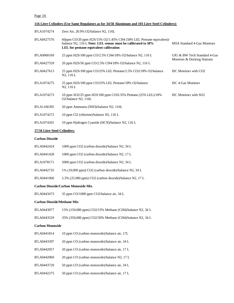# Page 10:

| 116 Litre Cylinders (Use Same Regulators as for 34/58 Aluminum and 103 Litre Steel Cylinders): |                                                                                                                                                                                      |                                                             |
|------------------------------------------------------------------------------------------------|--------------------------------------------------------------------------------------------------------------------------------------------------------------------------------------|-------------------------------------------------------------|
| IFLA1074274                                                                                    | Zero Air, 20.9% O2/balance N2, 116L                                                                                                                                                  |                                                             |
| IFLA0427576                                                                                    | 60ppm $CO/20$ ppm $H2S/15\%$ $O2/1.45\%$ CH4 (58% LEL Pentane equivalent)/<br>balance N2, 116 L Note: LEL sensor must be calibrated to 58%<br>LEL for pentane equivalent calibration | <b>MSA Standard 4-Gas Monitors</b>                          |
| IFLA0960169                                                                                    | 25 ppm H2S/100 ppm CO/2.5% CH4/18% O2/balance N2, 116 L                                                                                                                              | GfG & BW Tech Standard 4-Gas<br>Monitors & Docking Stations |
| IFLA0427559                                                                                    | 20 ppm H2S/50 ppm CO/2.5% CH4/18% O2/balance N2, 116 L                                                                                                                               |                                                             |
| IFLA0427613                                                                                    | 25 ppm H2S/100 ppm CO/25% LEL Pentane/2.5% CO2/18% O2/balance<br>N2, 116L                                                                                                            | ISC Monitors with CO2                                       |
| <b>IFLA1074275</b>                                                                             | 25 ppm H2S/100 ppm CO/25% LEL Pentane/18% O2/balance<br>N2, 116 L                                                                                                                    | ISC 4-Gas Monitors                                          |
| <b>IFLA1074273</b>                                                                             | 10 ppm SO2/25 ppm H2S/100 ppm CO/0.35% Pentane (25% LEL)/18%<br>O2/balance N2, 116L                                                                                                  | ISC Monitors with SO2                                       |
| <b>IFLA1166395</b>                                                                             | 50 ppm Ammonia (NH3)/balance N2, 116L                                                                                                                                                |                                                             |
| IFLA1074272                                                                                    | 10 ppm Cl2 (chlorine)/balance N2, 116 L                                                                                                                                              |                                                             |
| <b>IFLA1074201</b>                                                                             | 10 ppm Hydrogen Cyanide (HCN)/balance N2, 116 L                                                                                                                                      |                                                             |
| 17/34 Litre Steel Cylinders:                                                                   |                                                                                                                                                                                      |                                                             |
| <b>Carbon Dioxide</b>                                                                          |                                                                                                                                                                                      |                                                             |
| <b>IFLA0442424</b>                                                                             | 1000 ppm CO2 (carbon dioxide)/balance N2, 34 L                                                                                                                                       |                                                             |
| <b>IFLA0441428</b>                                                                             | 1000 ppm CO2 (carbon dioxide)/balance N2, 17 L                                                                                                                                       |                                                             |
| IFLA1078171                                                                                    | 5000 ppm CO2 (carbon dioxide)/balance N2, 34 L                                                                                                                                       |                                                             |
| IFLA0442735                                                                                    | 1% (10,000 ppm) CO2 (carbon dioxide)/balance N2, 34 L                                                                                                                                |                                                             |
| <b>IFLA0441966</b>                                                                             | 2.5% (25,000 ppm) CO2 (carbon dioxide)/balance N2, 17 L                                                                                                                              |                                                             |
|                                                                                                | <b>Carbon Dioxide/Carbon Monoxide Mix</b>                                                                                                                                            |                                                             |
| IFLA0443473                                                                                    | 35 ppm CO/1000 ppm CO2/balance air, 34 L                                                                                                                                             |                                                             |
| <b>Carbon Dioxide/Methane Mix</b>                                                              |                                                                                                                                                                                      |                                                             |
| IFLA0443077                                                                                    | 15% (150,000 ppm) CO2/15% Methane (CH4)/balance N2, 34 L                                                                                                                             |                                                             |
| IFLA0443529                                                                                    | 35% (350,000 ppm) CO2/50% Methane (CH4)/balance N2, 34 L                                                                                                                             |                                                             |
| <b>Carbon Monoxide</b>                                                                         |                                                                                                                                                                                      |                                                             |
| IFLA0441814                                                                                    | 10 ppm CO (carbon monoxide)/balance air, 17L                                                                                                                                         |                                                             |
| IFLA0443397                                                                                    | 20 ppm CO (carbon monoxide)/balance air, 34 L                                                                                                                                        |                                                             |
| IFLA0442057                                                                                    | 20 ppm CO (carbon monoxide)/balance air, 17 L                                                                                                                                        |                                                             |
| IFLA0442069                                                                                    | 20 ppm CO (carbon monoxide)/balance N2, 17 L                                                                                                                                         |                                                             |
| IFLA0443720                                                                                    | 50 ppm CO (carbon monoxide)/balance air, 34 L                                                                                                                                        |                                                             |
| IFLA0442275                                                                                    | 50 ppm CO (carbon monoxide)/balance air, 17 L                                                                                                                                        |                                                             |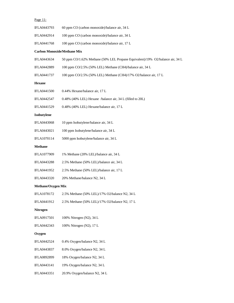| Page 11:                           |                                                                               |
|------------------------------------|-------------------------------------------------------------------------------|
| IFLA0443793                        | 60 ppm CO (carbon monoxide)/balance air, 34 L                                 |
| IFLA0442914                        | 100 ppm CO (carbon monoxide)/balance air, 34 L                                |
| <b>IFLA0441768</b>                 | 100 ppm CO (carbon monoxide)/balance air, 17 L                                |
| <b>Carbon Monoxide/Methane Mix</b> |                                                                               |
| IFLA0443634                        | 50 ppm CO/1.62% Methane (50% LEL Propane Equivalent)/19% O2/balance air, 34 L |
| IFLA0442889                        | 100 ppm CO/2.5% (50% LEL) Methane (CH4)/balance air, 34 L                     |
| IFLA0441737                        | 100 ppm CO/2.5% (50% LEL) Methane (CH4)/17% O2/balance air, 17 L              |
| Hexane                             |                                                                               |
| <b>IFLA0441500</b>                 | 0.44% Hexane/balance air, 17 L                                                |
| IFLA0442547                        | 0.48% (40% LEL) Hexane /balance air, 34 L (filled to 20L)                     |
| IFLA0441529                        | 0.48% (40% LEL) Hexane/balance air, 17 L                                      |
| Isobutylene                        |                                                                               |
| <b>IFLA0443068</b>                 | 10 ppm Isobutylene/balance air, 34 L                                          |
| IFLA0443021                        | 100 ppm Isobutylene/balance air, 34 L                                         |
| IFLA1070114                        | 5000 ppm Isobutylene/balance air, 34 L                                        |
| <b>Methane</b>                     |                                                                               |
| IFLA1077909                        | 1% Methane (20% LEL)/balance air, 34 L                                        |
| <b>IFLA0443288</b>                 | 2.5% Methane (50% LEL)/balance air, 34 L                                      |
| IFLA0441952                        | 2.5% Methane (50% LEL)/balance air, 17 L                                      |
| IFLA0443320                        | 20% Methane/balance N2, 34 L                                                  |
| <b>Methane/Oxygen Mix</b>          |                                                                               |
| IFLA1078172                        | 2.5% Methane (50% LEL)/17% O2/balance N2, 34 L                                |
| IFLA0441912                        | 2.5% Methane (50% LEL)/17% O2/balance N2, 17 L                                |
| <b>Nitrogen</b>                    |                                                                               |
| IFLA0917501                        | 100% Nitrogen (N2), 34 L                                                      |
| IFLA0442343                        | 100% Nitrogen (N2), 17 L                                                      |
| Oxygen                             |                                                                               |
| <b>IFLA0442524</b>                 | 0.4% Oxygen/balance N2, 34 L                                                  |
| <b>IFLA0443837</b>                 | 8.0% Oxygen/balance N2, 34 L                                                  |
| <b>IFLA0892899</b>                 | 18% Oxygen/balance N2, 34 L                                                   |
| IFLA0443141                        | 19% Oxygen/balance N2, 34 L                                                   |
| IFLA0443351                        | 20.9% Oxygen/balance N2, 34 L                                                 |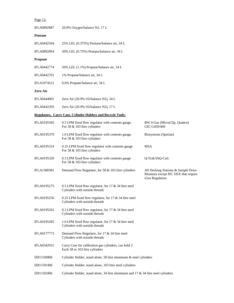| Page 12:           |                                                                                             |                                                                                               |
|--------------------|---------------------------------------------------------------------------------------------|-----------------------------------------------------------------------------------------------|
| <b>IFLA0892887</b> | 20.9% Oxygen/balance N2, 17 L                                                               |                                                                                               |
| Pentane            |                                                                                             |                                                                                               |
| <b>IFLA0442504</b> | 25% LEL (0.375%) Pentane/balance air, 34 L                                                  |                                                                                               |
| <b>IFLA0892894</b> | 50% LEL (0.75%) Pentane/balance air, 34 L                                                   |                                                                                               |
| Propane            |                                                                                             |                                                                                               |
| <b>IFLA0442774</b> | 50% LEL (1.1%) Propane/balance air, 34 L                                                    |                                                                                               |
| <b>IFLA0442701</b> | 1% Propane/balance air, 34 L                                                                |                                                                                               |
| IFLA1074512        | 0.6% Propane/balance air, 34 L                                                              |                                                                                               |
| Zero Air           |                                                                                             |                                                                                               |
| <b>IFLA0444001</b> | Zero Air (20.9% O2/balance N2), 34 L                                                        |                                                                                               |
| IFLA0442393        | Zero Air (20.9% O2/balance N2), 17 L                                                        |                                                                                               |
|                    | <b>Regulators, Carry Case, Cylinder Holders and Recycle Tools:</b>                          |                                                                                               |
| <b>IFLA0195345</b> | 0.5 LPM fixed flow regulator with contents gauge,<br>For 58 & 103 litre cylinders           | BW 4-Gas (MicroClip, Quattro)<br>GfG G450/460                                                 |
| <b>IFLA0195379</b> | 1.0 LPM fixed flow regulator with contents gauge,<br>For 58 & 103 litre cylinders           | Biosystems (Sperian)                                                                          |
| IFLA0195314        | 0.25 LPM fixed flow regulator with contents gauge<br>For 58 & 103 litre cylinders           | <b>MSA</b>                                                                                    |
| <b>IFLA0195320</b> | 0.3 LPM fixed flow regulator with contents gauge<br>For 58 & 103 litre cylinders            | Q-Trak/IAQ-Calc                                                                               |
| IFLA1300381        | Demand Flow Regulator, for 58 & 103 litre cylinders                                         | All Docking Stations & Sample Draw<br>Monitors except ISC DSX that require<br>iGas Regulators |
| <b>IFLA0195275</b> | 0.5 LPM fixed flow regulator, for 17 $\&$ 34 litre steel<br>Cylinders with outside threads  |                                                                                               |
| IFLA0195256        | 0.25 LPM fixed flow regulator, for 17 $\&$ 34 litre steel<br>Cylinders with outside threads |                                                                                               |
| IFLA0195262        | 0.3 LPM fixed flow regulator, for 17 $\&$ 34 litre steel<br>Cylinders with outside threads  |                                                                                               |
| <b>IFLA0195285</b> | 1.0 LPM fixed flow regulator, for 17 & 34 litre steel<br>Cylinders with outside threads     |                                                                                               |
| IFLA0177773        | Demand Flow Regulator, for 17 & 34 litre steel<br>Cylinders with outside threads            |                                                                                               |
| IFLA0342931        | Carry Case for calibration gas cylinders, can hold 2<br>Each 58 or 103 litre cylinders      |                                                                                               |
| IZ811500RK         | Cylinder Holder, stand alone, 58 litre aluminum & steel cylinders                           |                                                                                               |
| IZ811501RK         | Cylinder Holder, stand alone, 103 litre steel cylinders                                     |                                                                                               |
| IZ811502RK         | Cylinder Holder, stand alone, 34 litre aluminum and 17 $\&$ 34 litre steel cylinders        |                                                                                               |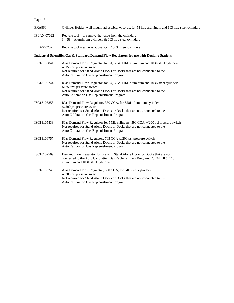# Page 13:

| <b>FXA860</b> | Cylinder Holder, wall mount, adjustable, w/cords, for 58 litre aluminum and 103 litre steel cylinders                                                                                                                                    |  |
|---------------|------------------------------------------------------------------------------------------------------------------------------------------------------------------------------------------------------------------------------------------|--|
| IFLA0407022   | Recycle tool $-$ to remove the valve from the cylinders<br>34, 58 – Aluminium cylinders $&$ 103 litre steel cylinders                                                                                                                    |  |
| IFLA0407021   | Recycle tool – same as above for 17 $\&$ 34 steel cylinders                                                                                                                                                                              |  |
|               | Industrial Scientific iGas & Standard Demand Flow Regulators for use with Docking Stations                                                                                                                                               |  |
| ISC18105841   | iGas Demand Flow Regulator for 34, 58 & 116L aluminum and 103L steel cylinders<br>w/150 psi pressure switch<br>Not required for Stand Alone Docks or Docks that are not connected to the<br>Auto Calibration Gas Replenishment Program   |  |
| ISC18109244   | iGas Demand Flow Regulator for 34, 58 & 116L aluminum and 103L steel cylinders<br>$w/250$ psi pressure switch<br>Not required for Stand Alone Docks or Docks that are not connected to the<br>Auto Calibration Gas Replenishment Program |  |
| ISC18105858   | iGas Demand Flow Regulator, 330 CGA, for 650L aluminum cylinders<br>w/200 psi pressure switch<br>Not required for Stand Alone Docks or Docks that are not connected to the<br>Auto Calibration Gas Replenishment Program                 |  |
| ISC18105833   | iGas Demand Flow Regulator for 552L cylinders, 590 CGA w/200 psi pressure switch<br>Not required for Stand Alone Docks or Docks that are not connected to the<br>Auto Calibration Gas Replenishment Program                              |  |
| ISC18106757   | iGas Demand Flow Regulator, 705 CGA w/200 psi pressure switch<br>Not required for Stand Alone Docks or Docks that are not connected to the<br>Auto Calibration Gas Replenishment Program                                                 |  |
| ISC18102509   | Demand Flow Regulator for use with Stand Alone Docks or Docks that are not<br>connected to the Auto Calibration Gas Replenishment Program. For 34, 58 & 116L<br>aluminum and 103L steel cylinders                                        |  |
| ISC18109243   | iGas Demand Flow Regulator, 600 CGA, for 34L steel cylinders<br>w/200 psi pressure switch<br>Not required for Stand Alone Docks or Docks that are not connected to the<br>Auto Calibration Gas Replenishment Program                     |  |